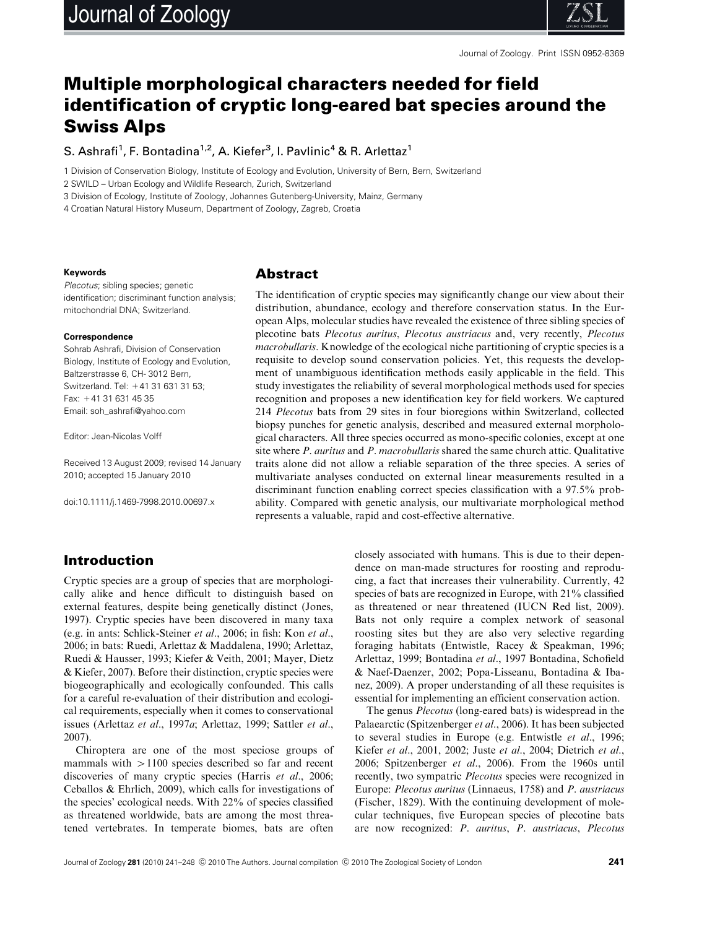

# Multiple morphological characters needed for field identification of cryptic long-eared bat species around the Swiss Alps

S. Ashrafi<sup>1</sup>, F. Bontadina<sup>1,2</sup>, A. Kiefer<sup>3</sup>, I. Pavlinic<sup>4</sup> & R. Arlettaz<sup>1</sup>

1 Division of Conservation Biology, Institute of Ecology and Evolution, University of Bern, Bern, Switzerland

2 SWILD – Urban Ecology and Wildlife Research, Zurich, Switzerland

3 Division of Ecology, Institute of Zoology, Johannes Gutenberg-University, Mainz, Germany

4 Croatian Natural History Museum, Department of Zoology, Zagreb, Croatia

#### **Keywords**

Plecotus; sibling species; genetic identification; discriminant function analysis; mitochondrial DNA; Switzerland.

#### **Correspondence**

Sohrab Ashrafi, Division of Conservation Biology, Institute of Ecology and Evolution, Baltzerstrasse 6, CH- 3012 Bern, Switzerland. Tel: +41 31 631 31 53; Fax: +41 31 631 45 35 Email: [soh\\_ashrafi@yahoo.com](mailto:soh_ashrafi@yahoo.com)

Editor: Jean-Nicolas Volff

Received 13 August 2009; revised 14 January 2010; accepted 15 January 2010

doi:10.1111/j.1469-7998.2010.00697.x

### Abstract

The identification of cryptic species may significantly change our view about their distribution, abundance, ecology and therefore conservation status. In the European Alps, molecular studies have revealed the existence of three sibling species of plecotine bats Plecotus auritus, Plecotus austriacus and, very recently, Plecotus macrobullaris. Knowledge of the ecological niche partitioning of cryptic species is a requisite to develop sound conservation policies. Yet, this requests the development of unambiguous identification methods easily applicable in the field. This study investigates the reliability of several morphological methods used for species recognition and proposes a new identification key for field workers. We captured 214 Plecotus bats from 29 sites in four bioregions within Switzerland, collected biopsy punches for genetic analysis, described and measured external morphological characters. All three species occurred as mono-specific colonies, except at one site where P. auritus and P. macrobullaris shared the same church attic. Qualitative traits alone did not allow a reliable separation of the three species. A series of multivariate analyses conducted on external linear measurements resulted in a discriminant function enabling correct species classification with a 97.5% probability. Compared with genetic analysis, our multivariate morphological method represents a valuable, rapid and cost-effective alternative.

# Introduction

Cryptic species are a group of species that are morphologically alike and hence difficult to distinguish based on external features, despite being genetically distinct (Jones, 1997). Cryptic species have been discovered in many taxa (e.g. in ants: Schlick-Steiner et al., 2006; in fish: Kon et al., 2006; in bats: Ruedi, Arlettaz & Maddalena, 1990; Arlettaz, Ruedi & Hausser, 1993; Kiefer & Veith, 2001; Mayer, Dietz & Kiefer, 2007). Before their distinction, cryptic species were biogeographically and ecologically confounded. This calls for a careful re-evaluation of their distribution and ecological requirements, especially when it comes to conservational issues (Arlettaz et al., 1997a; Arlettaz, 1999; Sattler et al., 2007).

Chiroptera are one of the most speciose groups of mammals with  $>1100$  species described so far and recent discoveries of many cryptic species (Harris et al., 2006; Ceballos & Ehrlich, 2009), which calls for investigations of the species' ecological needs. With 22% of species classified as threatened worldwide, bats are among the most threatened vertebrates. In temperate biomes, bats are often closely associated with humans. This is due to their dependence on man-made structures for roosting and reproducing, a fact that increases their vulnerability. Currently, 42 species of bats are recognized in Europe, with 21% classified as threatened or near threatened (IUCN Red list, 2009). Bats not only require a complex network of seasonal roosting sites but they are also very selective regarding foraging habitats (Entwistle, Racey & Speakman, 1996; Arlettaz, 1999; Bontadina et al., 1997 Bontadina, Schofield & Naef-Daenzer, 2002; Popa-Lisseanu, Bontadina & Ibanez, 2009). A proper understanding of all these requisites is essential for implementing an efficient conservation action.

The genus Plecotus (long-eared bats) is widespread in the Palaearctic (Spitzenberger et al., 2006). It has been subjected to several studies in Europe (e.g. Entwistle et al., 1996; Kiefer et al., 2001, 2002; Juste et al., 2004; Dietrich et al., 2006; Spitzenberger et al., 2006). From the 1960s until recently, two sympatric Plecotus species were recognized in Europe: Plecotus auritus (Linnaeus, 1758) and P. austriacus (Fischer, 1829). With the continuing development of molecular techniques, five European species of plecotine bats are now recognized: P. auritus, P. austriacus, Plecotus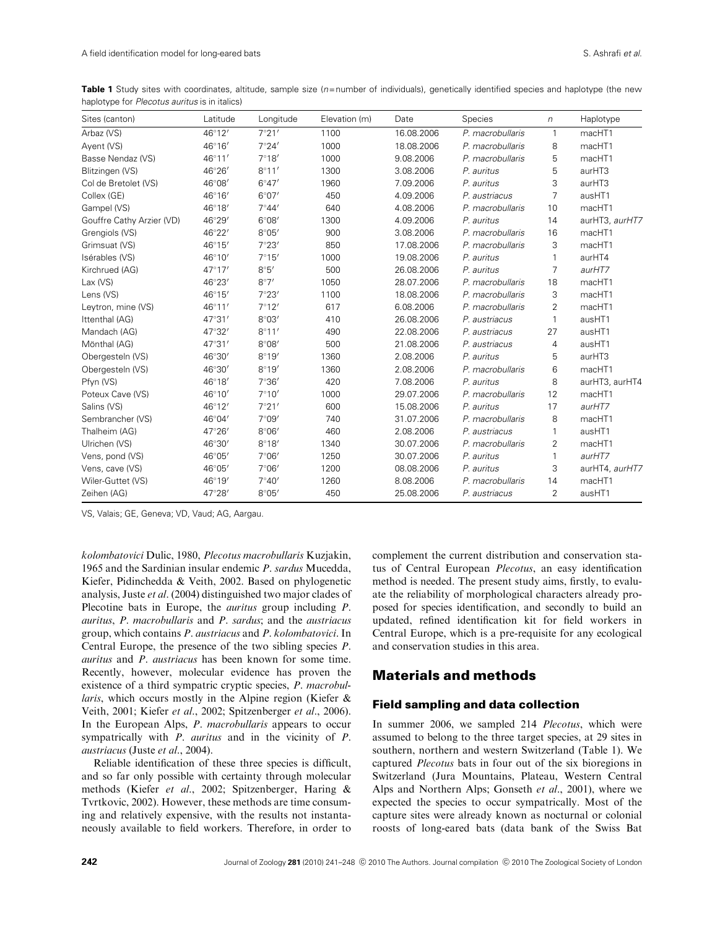Table 1 Study sites with coordinates, altitude, sample size (n=number of individuals), genetically identified species and haplotype (the new haplotype for Plecotus auritus is in italics)

| Sites (canton)            | Latitude        | Longitude      | Elevation (m) | Date       | Species          | $\eta$         | Haplotype      |
|---------------------------|-----------------|----------------|---------------|------------|------------------|----------------|----------------|
| Arbaz (VS)                | 46°12'          | 7°21'          | 1100          | 16.08.2006 | P. macrobullaris | $\mathbf{1}$   | macHT1         |
| Ayent (VS)                | $46^\circ 16'$  | 7°24'          | 1000          | 18.08.2006 | P. macrobullaris | 8              | macHT1         |
| Basse Nendaz (VS)         | $46^{\circ}11'$ | 7°18'          | 1000          | 9.08.2006  | P. macrobullaris | 5              | macHT1         |
| Blitzingen (VS)           | 46°26'          | 8°11'          | 1300          | 3.08.2006  | P. auritus       | 5              | aurHT3         |
| Col de Bretolet (VS)      | 46°08'          | $6^{\circ}47'$ | 1960          | 7.09.2006  | P. auritus       | 3              | aurHT3         |
| Collex (GE)               | 46°16'          | 6°07'          | 450           | 4.09.2006  | P. austriacus    | 7              | ausHT1         |
| Gampel (VS)               | 46°18'          | $7^\circ 44'$  | 640           | 4.08.2006  | P. macrobullaris | 10             | macHT1         |
| Gouffre Cathy Arzier (VD) | 46°29'          | $6^{\circ}08'$ | 1300          | 4.09.2006  | P. auritus       | 14             | aurHT3, aurHT7 |
| Grengiols (VS)            | 46°22'          | $8^{\circ}05'$ | 900           | 3.08.2006  | P. macrobullaris | 16             | macHT1         |
| Grimsuat (VS)             | $46^{\circ}15'$ | 7°23'          | 850           | 17.08.2006 | P. macrobullaris | 3              | macHT1         |
| Isérables (VS)            | 46°10'          | 7°15'          | 1000          | 19.08.2006 | P. auritus       |                | aurHT4         |
| Kirchrued (AG)            | $47^{\circ}17'$ | 8°5'           | 500           | 26.08.2006 | P. auritus       | $\overline{7}$ | aurHT7         |
| $Lax$ (VS)                | 46°23'          | 8°7'           | 1050          | 28.07.2006 | P. macrobullaris | 18             | macHT1         |
| Lens (VS)                 | $46^\circ 15'$  | 7°23'          | 1100          | 18.08.2006 | P. macrobullaris | 3              | macHT1         |
| Leytron, mine (VS)        | $46^{\circ}11'$ | 7°12'          | 617           | 6.08.2006  | P. macrobullaris | 2              | macHT1         |
| Ittenthal (AG)            | $47^{\circ}31'$ | $8^{\circ}03'$ | 410           | 26.08.2006 | P. austriacus    | 1              | ausHT1         |
| Mandach (AG)              | 47°32'          | 8°11'          | 490           | 22.08.2006 | P. austriacus    | 27             | ausHT1         |
| Mönthal (AG)              | $47^{\circ}31'$ | $8^{\circ}08'$ | 500           | 21.08.2006 | P. austriacus    | 4              | ausHT1         |
| Obergesteln (VS)          | 46°30'          | 8°19'          | 1360          | 2.08.2006  | P. auritus       | 5              | aurHT3         |
| Obergesteln (VS)          | 46°30'          | 8°19'          | 1360          | 2.08.2006  | P. macrobullaris | 6              | macHT1         |
| Pfyn (VS)                 | 46°18'          | 7°36'          | 420           | 7.08.2006  | P. auritus       | 8              | aurHT3, aurHT4 |
| Poteux Cave (VS)          | 46°10'          | 7°10'          | 1000          | 29.07.2006 | P. macrobullaris | 12             | macHT1         |
| Salins (VS)               | $46^{\circ}12'$ | 7°21'          | 600           | 15.08.2006 | P. auritus       | 17             | aurHT7         |
| Sembrancher (VS)          | 46°04'          | 7°09'          | 740           | 31.07.2006 | P. macrobullaris | 8              | macHT1         |
| Thalheim (AG)             | 47°26'          | $8^{\circ}06'$ | 460           | 2.08.2006  | P. austriacus    | 1              | ausHT1         |
| Ulrichen (VS)             | 46°30'          | 8°18'          | 1340          | 30.07.2006 | P. macrobullaris | $\overline{2}$ | macHT1         |
| Vens, pond (VS)           | 46°05'          | $7^{\circ}06'$ | 1250          | 30.07.2006 | P. auritus       | 1              | aurHT7         |
| Vens, cave (VS)           | 46°05'          | 7°06'          | 1200          | 08.08.2006 | P. auritus       | 3              | aurHT4, aurHT7 |
| Wiler-Guttet (VS)         | 46°19'          | $7^{\circ}40'$ | 1260          | 8.08.2006  | P. macrobullaris | 14             | macHT1         |
| Zeihen (AG)               | 47°28'          | $8^{\circ}05'$ | 450           | 25.08.2006 | P. austriacus    | $\overline{2}$ | ausHT1         |

VS, Valais; GE, Geneva; VD, Vaud; AG, Aargau.

kolombatovici Dulic, 1980, Plecotus macrobullaris Kuzjakin, 1965 and the Sardinian insular endemic P. sardus Mucedda, Kiefer, Pidinchedda & Veith, 2002. Based on phylogenetic analysis, Juste et al. (2004) distinguished two major clades of Plecotine bats in Europe, the *auritus* group including P. auritus, P. macrobullaris and P. sardus; and the austriacus group, which contains P. austriacus and P. kolombatovici. In Central Europe, the presence of the two sibling species P. auritus and P. austriacus has been known for some time. Recently, however, molecular evidence has proven the existence of a third sympatric cryptic species, P. macrobul*laris*, which occurs mostly in the Alpine region (Kiefer  $\&$ Veith, 2001; Kiefer et al., 2002; Spitzenberger et al., 2006). In the European Alps, P. macrobullaris appears to occur sympatrically with *P. auritus* and in the vicinity of *P.* austriacus (Juste et al., 2004).

Reliable identification of these three species is difficult, and so far only possible with certainty through molecular methods (Kiefer et al., 2002; Spitzenberger, Haring & Tvrtkovic, 2002). However, these methods are time consuming and relatively expensive, with the results not instantaneously available to field workers. Therefore, in order to complement the current distribution and conservation status of Central European Plecotus, an easy identification method is needed. The present study aims, firstly, to evaluate the reliability of morphological characters already proposed for species identification, and secondly to build an updated, refined identification kit for field workers in Central Europe, which is a pre-requisite for any ecological and conservation studies in this area.

# Materials and methods

#### Field sampling and data collection

In summer 2006, we sampled 214 *Plecotus*, which were assumed to belong to the three target species, at 29 sites in southern, northern and western Switzerland (Table 1). We captured Plecotus bats in four out of the six bioregions in Switzerland (Jura Mountains, Plateau, Western Central Alps and Northern Alps; Gonseth et al., 2001), where we expected the species to occur sympatrically. Most of the capture sites were already known as nocturnal or colonial roosts of long-eared bats (data bank of the Swiss Bat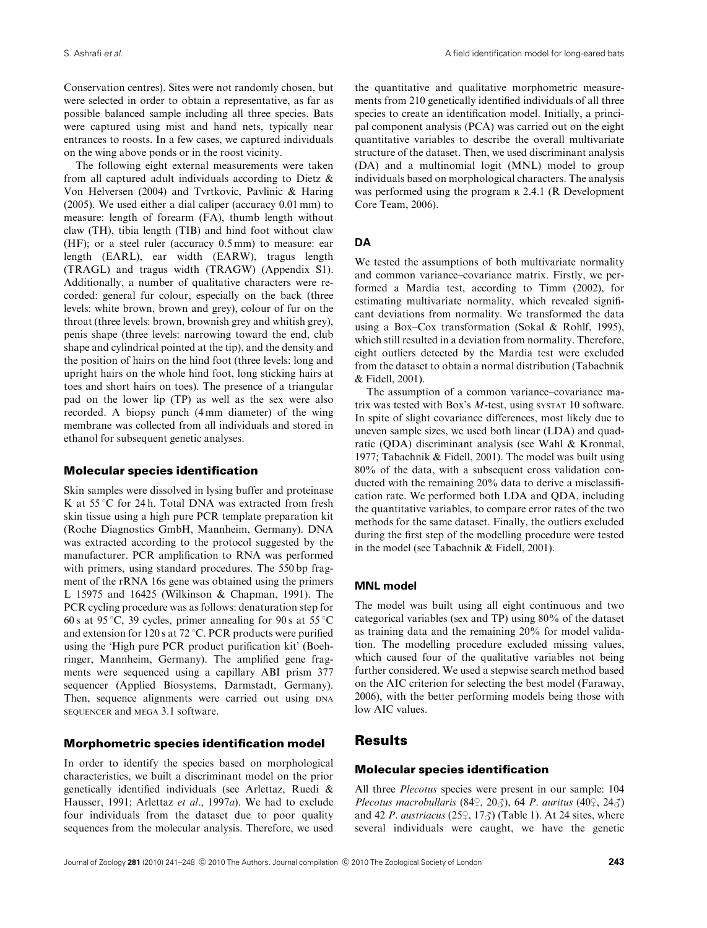Conservation centres). Sites were not randomly chosen, but were selected in order to obtain a representative, as far as possible balanced sample including all three species. Bats were captured using mist and hand nets, typically near entrances to roosts. In a few cases, we captured individuals on the wing above ponds or in the roost vicinity.

The following eight external measurements were taken from all captured adult individuals according to Dietz & Von Helversen (2004) and Tvrtkovic, Pavlinic & Haring (2005). We used either a dial caliper (accuracy 0.01 mm) to measure: length of forearm (FA), thumb length without claw (TH), tibia length (TIB) and hind foot without claw (HF); or a steel ruler (accuracy 0.5 mm) to measure: ear length (EARL), ear width (EARW), tragus length (TRAGL) and tragus width (TRAGW) (Appendix S1). Additionally, a number of qualitative characters were recorded: general fur colour, especially on the back (three levels: white brown, brown and grey), colour of fur on the throat (three levels: brown, brownish grey and whitish grey), penis shape (three levels: narrowing toward the end, club shape and cylindrical pointed at the tip), and the density and the position of hairs on the hind foot (three levels: long and upright hairs on the whole hind foot, long sticking hairs at toes and short hairs on toes). The presence of a triangular pad on the lower lip (TP) as well as the sex were also recorded. A biopsy punch (4 mm diameter) of the wing membrane was collected from all individuals and stored in ethanol for subsequent genetic analyses.

#### Molecular species identification

Skin samples were dissolved in lysing buffer and proteinase K at  $55^{\circ}$ C for 24 h. Total DNA was extracted from fresh skin tissue using a high pure PCR template preparation kit (Roche Diagnostics GmbH, Mannheim, Germany). DNA was extracted according to the protocol suggested by the manufacturer. PCR amplification to RNA was performed with primers, using standard procedures. The 550 bp fragment of the rRNA 16s gene was obtained using the primers L 15975 and 16425 (Wilkinson & Chapman, 1991). The PCR cycling procedure was as follows: denaturation step for 60 s at 95 °C, 39 cycles, primer annealing for 90 s at 55 °C and extension for 120 s at 72  $\degree$ C. PCR products were purified using the 'High pure PCR product purification kit' (Boehringer, Mannheim, Germany). The amplified gene fragments were sequenced using a capillary ABI prism 377 sequencer (Applied Biosystems, Darmstadt, Germany). Then, sequence alignments were carried out using DNA SEQUENCER and MEGA 3.1 software.

#### Morphometric species identification model

In order to identify the species based on morphological characteristics, we built a discriminant model on the prior genetically identified individuals (see Arlettaz, Ruedi & Hausser, 1991; Arlettaz et al., 1997a). We had to exclude four individuals from the dataset due to poor quality sequences from the molecular analysis. Therefore, we used the quantitative and qualitative morphometric measurements from 210 genetically identified individuals of all three species to create an identification model. Initially, a principal component analysis (PCA) was carried out on the eight quantitative variables to describe the overall multivariate structure of the dataset. Then, we used discriminant analysis (DA) and a multinomial logit (MNL) model to group individuals based on morphological characters. The analysis was performed using the program R 2.4.1 (R Development Core Team, 2006).

#### **DA**

We tested the assumptions of both multivariate normality and common variance–covariance matrix. Firstly, we performed a Mardia test, according to Timm (2002), for estimating multivariate normality, which revealed significant deviations from normality. We transformed the data using a Box–Cox transformation (Sokal & Rohlf, 1995), which still resulted in a deviation from normality. Therefore, eight outliers detected by the Mardia test were excluded from the dataset to obtain a normal distribution (Tabachnik & Fidell, 2001).

The assumption of a common variance–covariance matrix was tested with Box's M-test, using SYSTAT 10 software. In spite of slight covariance differences, most likely due to uneven sample sizes, we used both linear (LDA) and quadratic (QDA) discriminant analysis (see Wahl & Kronmal, 1977; Tabachnik & Fidell, 2001). The model was built using 80% of the data, with a subsequent cross validation conducted with the remaining 20% data to derive a misclassification rate. We performed both LDA and QDA, including the quantitative variables, to compare error rates of the two methods for the same dataset. Finally, the outliers excluded during the first step of the modelling procedure were tested in the model (see Tabachnik & Fidell, 2001).

#### **MNL model**

The model was built using all eight continuous and two categorical variables (sex and TP) using 80% of the dataset as training data and the remaining 20% for model validation. The modelling procedure excluded missing values, which caused four of the qualitative variables not being further considered. We used a stepwise search method based on the AIC criterion for selecting the best model (Faraway, 2006), with the better performing models being those with low AIC values.

# **Results**

#### Molecular species identification

All three Plecotus species were present in our sample: 104 Plecotus macrobullaris (84 $\frac{1}{2}$ , 20 $\frac{3}{2}$ ), 64 P. auritus (40 $\frac{1}{2}$ , 24 $\frac{3}{2}$ ) and 42 P. austriacus (25 $\frac{1}{2}$ , 17 $\frac{3}{2}$ ) (Table 1). At 24 sites, where several individuals were caught, we have the genetic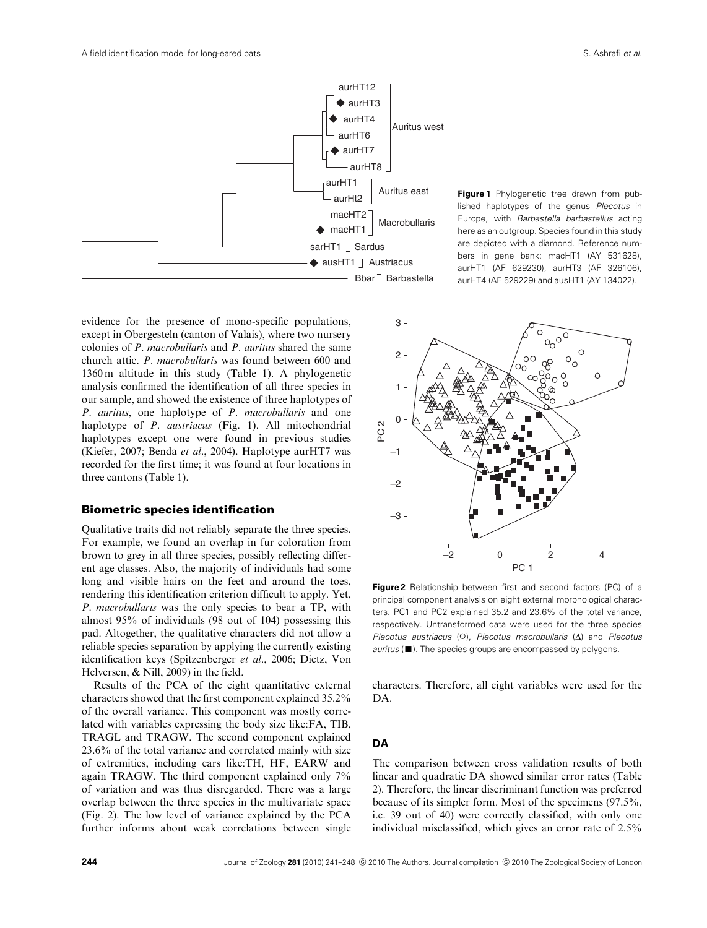

**Figure 1** Phylogenetic tree drawn from published haplotypes of the genus Plecotus in Europe, with Barbastella barbastellus acting here as an outgroup. Species found in this study are depicted with a diamond. Reference numbers in gene bank: macHT1 (AY 531628), aurHT1 (AF 629230), aurHT3 (AF 326106), aurHT4 (AF 529229) and ausHT1 (AY 134022).

evidence for the presence of mono-specific populations, except in Obergesteln (canton of Valais), where two nursery colonies of P. macrobullaris and P. auritus shared the same church attic. P. macrobullaris was found between 600 and 1360 m altitude in this study (Table 1). A phylogenetic analysis confirmed the identification of all three species in our sample, and showed the existence of three haplotypes of P. auritus, one haplotype of P. macrobullaris and one haplotype of *P. austriacus* (Fig. 1). All mitochondrial haplotypes except one were found in previous studies (Kiefer, 2007; Benda et al., 2004). Haplotype aurHT7 was recorded for the first time; it was found at four locations in three cantons (Table 1).

#### Biometric species identification

Qualitative traits did not reliably separate the three species. For example, we found an overlap in fur coloration from brown to grey in all three species, possibly reflecting different age classes. Also, the majority of individuals had some long and visible hairs on the feet and around the toes, rendering this identification criterion difficult to apply. Yet, P. macrobullaris was the only species to bear a TP, with almost 95% of individuals (98 out of 104) possessing this pad. Altogether, the qualitative characters did not allow a reliable species separation by applying the currently existing identification keys (Spitzenberger et al., 2006; Dietz, Von Helversen, & Nill, 2009) in the field.

Results of the PCA of the eight quantitative external characters showed that the first component explained 35.2% of the overall variance. This component was mostly correlated with variables expressing the body size like:FA, TIB, TRAGL and TRAGW. The second component explained 23.6% of the total variance and correlated mainly with size of extremities, including ears like:TH, HF, EARW and again TRAGW. The third component explained only 7% of variation and was thus disregarded. There was a large overlap between the three species in the multivariate space (Fig. 2). The low level of variance explained by the PCA further informs about weak correlations between single



**Figure 2** Relationship between first and second factors (PC) of a principal component analysis on eight external morphological characters. PC1 and PC2 explained 35.2 and 23.6% of the total variance, respectively. Untransformed data were used for the three species Plecotus austriacus (O), Plecotus macrobullaris  $(\Delta)$  and Plecotus  $auritus$  ( $\blacksquare$ ). The species groups are encompassed by polygons.

characters. Therefore, all eight variables were used for the DA.

#### **DA**

The comparison between cross validation results of both linear and quadratic DA showed similar error rates (Table 2). Therefore, the linear discriminant function was preferred because of its simpler form. Most of the specimens (97.5%, i.e. 39 out of 40) were correctly classified, with only one individual misclassified, which gives an error rate of 2.5%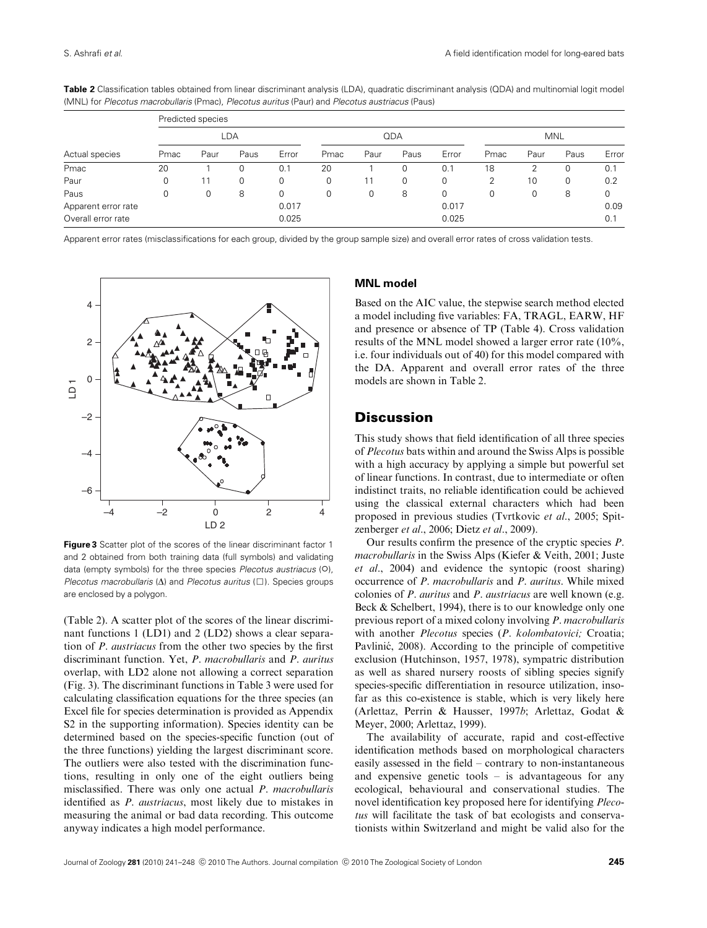| Actual species      | Predicted species |      |      |       |      |      |      |            |      |      |      |       |  |
|---------------------|-------------------|------|------|-------|------|------|------|------------|------|------|------|-------|--|
|                     | LDA               |      |      |       | QDA  |      |      | <b>MNL</b> |      |      |      |       |  |
|                     | Pmac              | Paur | Paus | Error | Pmac | Paur | Paus | Error      | Pmac | Paur | Paus | Error |  |
| Pmac                | 20                |      |      | 0.1   | 20   |      |      | 0.1        | 18   | っ    | 0    | 0.1   |  |
| Paur                | 0                 | 11   | 0    | 0     | 0    |      | 0    | 0          | 2    | 10   | 0    | 0.2   |  |
| Paus                | 0                 | 0    | 8    | 0     | 0    | 0    | 8    | 0          | 0    | 0    | 8    | 0     |  |
| Apparent error rate |                   |      |      | 0.017 |      |      |      | 0.017      |      |      |      | 0.09  |  |
| Overall error rate  |                   |      |      | 0.025 |      |      |      | 0.025      |      |      |      | 0.1   |  |

**Table 2** Classification tables obtained from linear discriminant analysis (LDA), quadratic discriminant analysis (QDA) and multinomial logit model (MNL) for Plecotus macrobullaris (Pmac), Plecotus auritus (Paur) and Plecotus austriacus (Paus)

Apparent error rates (misclassifications for each group, divided by the group sample size) and overall error rates of cross validation tests.



**Figure 3** Scatter plot of the scores of the linear discriminant factor 1 and 2 obtained from both training data (full symbols) and validating data (empty symbols) for the three species Plecotus austriacus (O), Plecotus macrobullaris ( $\Delta$ ) and Plecotus auritus ( $\square$ ). Species groups are enclosed by a polygon.

(Table 2). A scatter plot of the scores of the linear discriminant functions 1 (LD1) and 2 (LD2) shows a clear separation of P. austriacus from the other two species by the first discriminant function. Yet, P. macrobullaris and P. auritus overlap, with LD2 alone not allowing a correct separation (Fig. 3). The discriminant functions in Table 3 were used for calculating classification equations for the three species (an Excel file for species determination is provided as Appendix S2 in the supporting information). Species identity can be determined based on the species-specific function (out of the three functions) yielding the largest discriminant score. The outliers were also tested with the discrimination functions, resulting in only one of the eight outliers being misclassified. There was only one actual P. macrobullaris identified as P. austriacus, most likely due to mistakes in measuring the animal or bad data recording. This outcome anyway indicates a high model performance.

#### **MNL model**

Based on the AIC value, the stepwise search method elected a model including five variables: FA, TRAGL, EARW, HF and presence or absence of TP (Table 4). Cross validation results of the MNL model showed a larger error rate (10%, i.e. four individuals out of 40) for this model compared with the DA. Apparent and overall error rates of the three models are shown in Table 2.

### **Discussion**

This study shows that field identification of all three species of Plecotus bats within and around the Swiss Alps is possible with a high accuracy by applying a simple but powerful set of linear functions. In contrast, due to intermediate or often indistinct traits, no reliable identification could be achieved using the classical external characters which had been proposed in previous studies (Tvrtkovic et al., 2005; Spitzenberger et al., 2006; Dietz et al., 2009).

Our results confirm the presence of the cryptic species P. macrobullaris in the Swiss Alps (Kiefer & Veith, 2001; Juste et al., 2004) and evidence the syntopic (roost sharing) occurrence of P. macrobullaris and P. auritus. While mixed colonies of P. auritus and P. austriacus are well known (e.g. Beck & Schelbert, 1994), there is to our knowledge only one previous report of a mixed colony involving P. macrobullaris with another *Plecotus* species (*P. kolombatovici*; Croatia; Pavlinić, 2008). According to the principle of competitive exclusion (Hutchinson, 1957, 1978), sympatric distribution as well as shared nursery roosts of sibling species signify species-specific differentiation in resource utilization, insofar as this co-existence is stable, which is very likely here (Arlettaz, Perrin & Hausser, 1997b; Arlettaz, Godat & Meyer, 2000; Arlettaz, 1999).

The availability of accurate, rapid and cost-effective identification methods based on morphological characters easily assessed in the field – contrary to non-instantaneous and expensive genetic tools – is advantageous for any ecological, behavioural and conservational studies. The novel identification key proposed here for identifying Plecotus will facilitate the task of bat ecologists and conservationists within Switzerland and might be valid also for the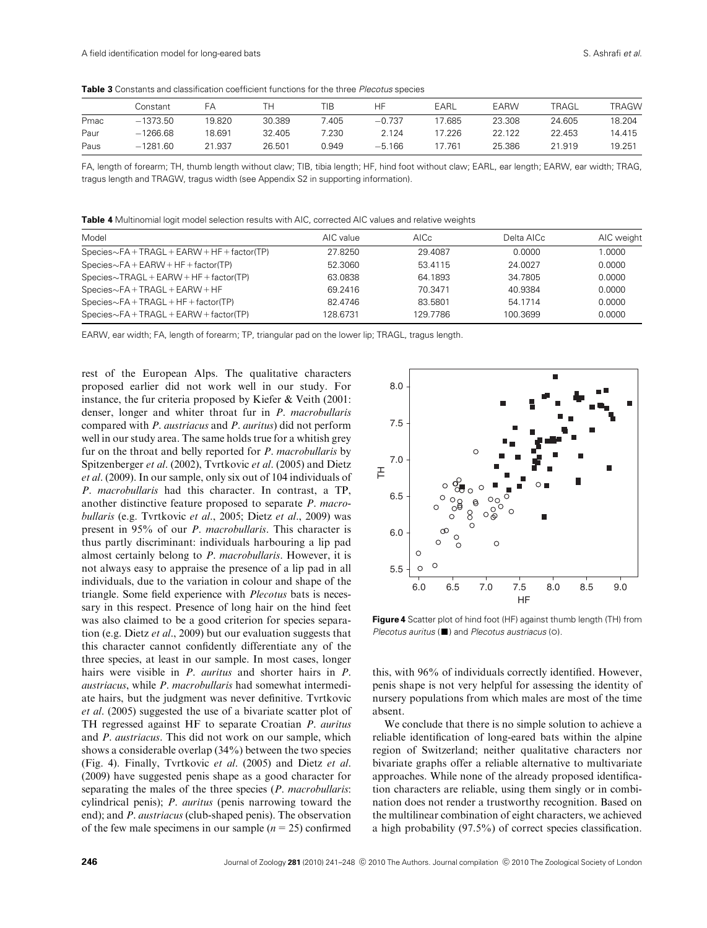**Table 3** Constants and classification coefficient functions for the three Plecotus species

|      | Constant   | FA     |        | TIB   | НF       | EARL  | EARW   | TRAGL  | <b>TRAGW</b> |
|------|------------|--------|--------|-------|----------|-------|--------|--------|--------------|
| Pmac | $-1373.50$ | 19.820 | 30.389 | .405  | $-0.737$ | 7.685 | 23.308 | 24.605 | 18.204       |
| Paur | $-1266.68$ | 18.691 | 32.405 | 7.230 | 2.124    | 7.226 | 22.122 | 22.453 | 14.415       |
| Paus | $-1281.60$ | 21.937 | 26.501 | 0.949 | $-5.166$ | 7.761 | 25.386 | 21.919 | 19.251       |

FA, length of forearm; TH, thumb length without claw; TIB, tibia length; HF, hind foot without claw; EARL, ear length; EARW, ear width; TRAG, tragus length and TRAGW, tragus width (see Appendix S2 in supporting information).

**Table 4** Multinomial logit model selection results with AIC, corrected AIC values and relative weights

| Model                                         | AIC value | AICc.    | Delta AICc | AIC weight |
|-----------------------------------------------|-----------|----------|------------|------------|
| $Species~FA + TRAGL + EARW + HF + factor(TP)$ | 27.8250   | 29.4087  | 0.0000     | 1.0000     |
| $Species~FA + EARW + HF + factor(TP)$         | 52.3060   | 53.4115  | 24.0027    | 0.0000     |
| $Species\sim TRAGL + EARW + HF + factor(TP)$  | 63.0838   | 64.1893  | 34.7805    | 0.0000     |
| $Species~FA + TRAGL + EARW + HF$              | 69 2416   | 70.3471  | 40.9384    | 0.0000     |
| $Species~FA + TRAGL + HF + factor(TP)$        | 82.4746   | 83.5801  | 54.1714    | 0.0000     |
| $Species~FA + TRAGL + EARW + factor(TP)$      | 128.6731  | 129.7786 | 100.3699   | 0.0000     |

EARW, ear width; FA, length of forearm; TP, triangular pad on the lower lip; TRAGL, tragus length.

rest of the European Alps. The qualitative characters proposed earlier did not work well in our study. For instance, the fur criteria proposed by Kiefer & Veith (2001: denser, longer and whiter throat fur in P. macrobullaris compared with P. austriacus and P. auritus) did not perform well in our study area. The same holds true for a whitish grey fur on the throat and belly reported for P. macrobullaris by Spitzenberger et al. (2002), Tvrtkovic et al. (2005) and Dietz et al. (2009). In our sample, only six out of 104 individuals of P. macrobullaris had this character. In contrast, a TP, another distinctive feature proposed to separate P. macrobullaris (e.g. Tvrtkovic et al., 2005; Dietz et al., 2009) was present in 95% of our P. macrobullaris. This character is thus partly discriminant: individuals harbouring a lip pad almost certainly belong to P. macrobullaris. However, it is not always easy to appraise the presence of a lip pad in all individuals, due to the variation in colour and shape of the triangle. Some field experience with Plecotus bats is necessary in this respect. Presence of long hair on the hind feet was also claimed to be a good criterion for species separation (e.g. Dietz et al., 2009) but our evaluation suggests that this character cannot confidently differentiate any of the three species, at least in our sample. In most cases, longer hairs were visible in *P. auritus* and shorter hairs in *P.* austriacus, while P. macrobullaris had somewhat intermediate hairs, but the judgment was never definitive. Tvrtkovic et al. (2005) suggested the use of a bivariate scatter plot of TH regressed against HF to separate Croatian P. auritus and P. austriacus. This did not work on our sample, which shows a considerable overlap (34%) between the two species (Fig. 4). Finally, Tvrtkovic et al. (2005) and Dietz et al. (2009) have suggested penis shape as a good character for separating the males of the three species (P. macrobullaris: cylindrical penis); P. auritus (penis narrowing toward the end); and P. austriacus (club-shaped penis). The observation of the few male specimens in our sample  $(n = 25)$  confirmed

![](_page_5_Figure_9.jpeg)

**Figure 4** Scatter plot of hind foot (HF) against thumb length (TH) from  $P$ lecotus auritus ( $\blacksquare$ ) and  $P$ lecotus austriacus ( $\lozenge$ ).

this, with 96% of individuals correctly identified. However, penis shape is not very helpful for assessing the identity of nursery populations from which males are most of the time absent.

We conclude that there is no simple solution to achieve a reliable identification of long-eared bats within the alpine region of Switzerland; neither qualitative characters nor bivariate graphs offer a reliable alternative to multivariate approaches. While none of the already proposed identification characters are reliable, using them singly or in combination does not render a trustworthy recognition. Based on the multilinear combination of eight characters, we achieved a high probability (97.5%) of correct species classification.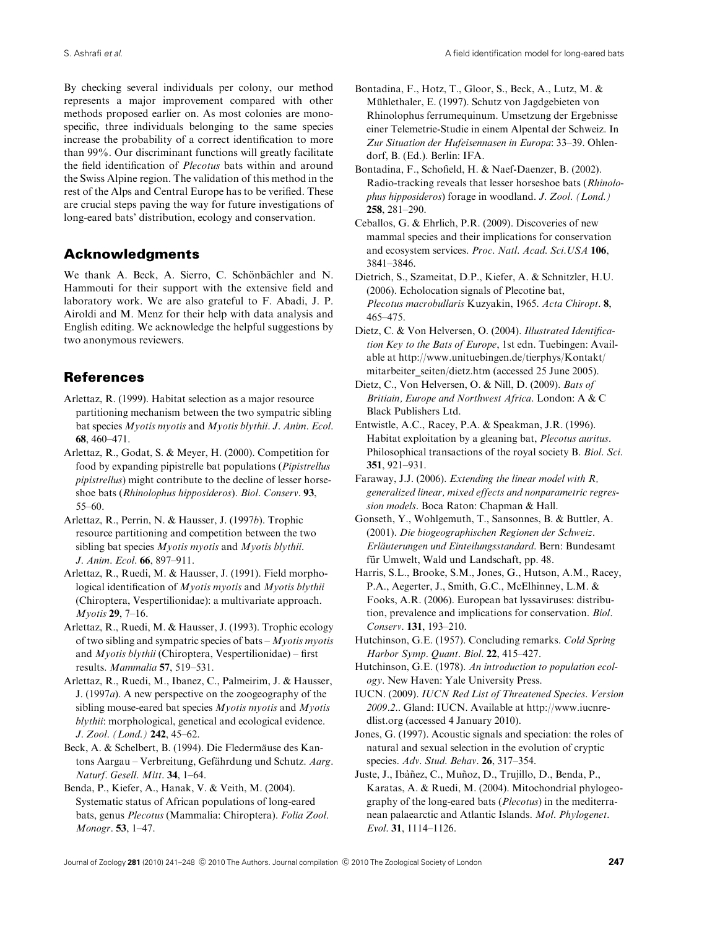By checking several individuals per colony, our method represents a major improvement compared with other methods proposed earlier on. As most colonies are monospecific, three individuals belonging to the same species increase the probability of a correct identification to more than 99%. Our discriminant functions will greatly facilitate the field identification of Plecotus bats within and around the Swiss Alpine region. The validation of this method in the rest of the Alps and Central Europe has to be verified. These are crucial steps paving the way for future investigations of long-eared bats' distribution, ecology and conservation.

# Acknowledgments

We thank A. Beck, A. Sierro, C. Schönbächler and N. Hammouti for their support with the extensive field and laboratory work. We are also grateful to F. Abadi, J. P. Airoldi and M. Menz for their help with data analysis and English editing. We acknowledge the helpful suggestions by two anonymous reviewers.

# References

- Arlettaz, R. (1999). Habitat selection as a major resource partitioning mechanism between the two sympatric sibling bat species Myotis myotis and Myotis blythii. J. Anim. Ecol. 68, 460–471.
- Arlettaz, R., Godat, S. & Meyer, H. (2000). Competition for food by expanding pipistrelle bat populations (Pipistrellus pipistrellus) might contribute to the decline of lesser horseshoe bats (Rhinolophus hipposideros). Biol. Conserv. 93, 55–60.
- Arlettaz, R., Perrin, N. & Hausser, J. (1997b). Trophic resource partitioning and competition between the two sibling bat species Myotis myotis and Myotis blythii. J. Anim. Ecol. 66, 897–911.
- Arlettaz, R., Ruedi, M. & Hausser, J. (1991). Field morphological identification of Myotis myotis and Myotis blythii (Chiroptera, Vespertilionidae): a multivariate approach. Myotis 29, 7–16.
- Arlettaz, R., Ruedi, M. & Hausser, J. (1993). Trophic ecology of two sibling and sympatric species of bats  $-Myotis$  myotis and  $Myotis blythii$  (Chiroptera, Vespertilionidae) – first results. Mammalia 57, 519–531.
- Arlettaz, R., Ruedi, M., Ibanez, C., Palmeirim, J. & Hausser, J. (1997a). A new perspective on the zoogeography of the sibling mouse-eared bat species  $Myotis$  myotis and  $Myotis$ blythii: morphological, genetical and ecological evidence. J. Zool. (Lond.) 242, 45–62.
- Beck, A. & Schelbert, B. (1994). Die Fledermäuse des Kantons Aargau – Verbreitung, Gefährdung und Schutz. Aarg. Naturf. Gesell. Mitt. 34, 1–64.
- Benda, P., Kiefer, A., Hanak, V. & Veith, M. (2004). Systematic status of African populations of long-eared bats, genus Plecotus (Mammalia: Chiroptera). Folia Zool. Monogr. 53, 1–47.
- Bontadina, F., Hotz, T., Gloor, S., Beck, A., Lutz, M. & Mühlethaler, E. (1997). Schutz von Jagdgebieten von Rhinolophus ferrumequinum. Umsetzung der Ergebnisse einer Telemetrie-Studie in einem Alpental der Schweiz. In Zur Situation der Hufeisennasen in Europa: 33–39. Ohlendorf, B. (Ed.). Berlin: IFA.
- Bontadina, F., Schofield, H. & Naef-Daenzer, B. (2002). Radio-tracking reveals that lesser horseshoe bats (Rhinolophus hipposideros) forage in woodland. J. Zool. (Lond.) 258, 281–290.
- Ceballos, G. & Ehrlich, P.R. (2009). Discoveries of new mammal species and their implications for conservation and ecosystem services. Proc. Natl. Acad. Sci.USA 106, 3841–3846.
- Dietrich, S., Szameitat, D.P., Kiefer, A. & Schnitzler, H.U. (2006). Echolocation signals of Plecotine bat, Plecotus macrobullaris Kuzyakin, 1965. Acta Chiropt. 8, 465–475.
- Dietz, C. & Von Helversen, O. (2004). Illustrated Identification Key to the Bats of Europe, 1st edn. Tuebingen: Available at [http://www.unituebingen.de/tierphys/Kontakt/](http://www.unituebingen.de/tierphys/Kontakt/mitarbeiter_seiten/dietz.htm) [mitarbeiter\\_seiten/dietz.htm](http://www.unituebingen.de/tierphys/Kontakt/mitarbeiter_seiten/dietz.htm) (accessed 25 June 2005).
- Dietz, C., Von Helversen, O. & Nill, D. (2009). Bats of Britiain, Europe and Northwest Africa. London: A & C Black Publishers Ltd.
- Entwistle, A.C., Racey, P.A. & Speakman, J.R. (1996). Habitat exploitation by a gleaning bat, Plecotus auritus. Philosophical transactions of the royal society B. Biol. Sci. 351, 921–931.
- Faraway, J.J. (2006). Extending the linear model with R, generalized linear, mixed effects and nonparametric regression models. Boca Raton: Chapman & Hall.
- Gonseth, Y., Wohlgemuth, T., Sansonnes, B. & Buttler, A. (2001). Die biogeographischen Regionen der Schweiz. Erläuterungen und Einteilungsstandard. Bern: Bundesamt für Umwelt, Wald und Landschaft, pp. 48.
- Harris, S.L., Brooke, S.M., Jones, G., Hutson, A.M., Racey, P.A., Aegerter, J., Smith, G.C., McElhinney, L.M. & Fooks, A.R. (2006). European bat lyssaviruses: distribution, prevalence and implications for conservation. Biol. Conserv. 131, 193–210.
- Hutchinson, G.E. (1957). Concluding remarks. Cold Spring Harbor Symp. Quant. Biol. 22, 415–427.
- Hutchinson, G.E. (1978). An introduction to population ecology. New Haven: Yale University Press.
- IUCN. (2009). IUCN Red List of Threatened Species. Version 2009.2.. Gland: IUCN. Available at [http://www.iucnre](http://www.iucnredlist.org)[dlist.org](http://www.iucnredlist.org) (accessed 4 January 2010).
- Jones, G. (1997). Acoustic signals and speciation: the roles of natural and sexual selection in the evolution of cryptic species. Adv. Stud. Behav. 26, 317–354.
- Juste, J., Ibàñez, C., Muñoz, D., Trujillo, D., Benda, P., Karatas, A. & Ruedi, M. (2004). Mitochondrial phylogeography of the long-eared bats (Plecotus) in the mediterranean palaearctic and Atlantic Islands. Mol. Phylogenet. Evol. 31, 1114–1126.